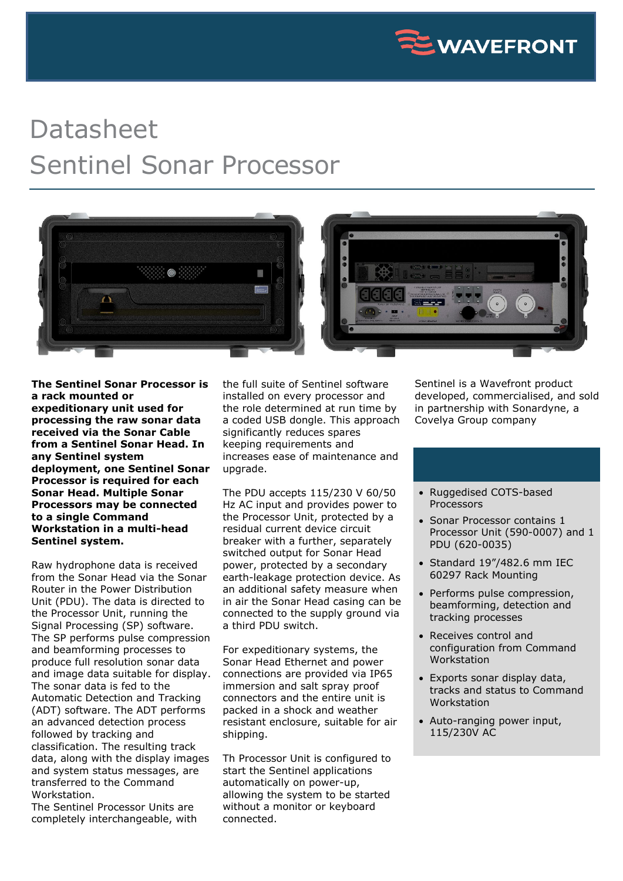

## Datasheet Sentinel Sonar Processor



**The Sentinel Sonar Processor is a rack mounted or expeditionary unit used for processing the raw sonar data received via the Sonar Cable from a Sentinel Sonar Head. In any Sentinel system deployment, one Sentinel Sonar Processor is required for each Sonar Head. Multiple Sonar Processors may be connected to a single Command Workstation in a multi-head Sentinel system.**

Raw hydrophone data is received from the Sonar Head via the Sonar Router in the Power Distribution Unit (PDU). The data is directed to the Processor Unit, running the Signal Processing (SP) software. The SP performs pulse compression and beamforming processes to produce full resolution sonar data and image data suitable for display. The sonar data is fed to the Automatic Detection and Tracking (ADT) software. The ADT performs an advanced detection process followed by tracking and classification. The resulting track data, along with the display images and system status messages, are transferred to the Command Workstation.

The Sentinel Processor Units are completely interchangeable, with the full suite of Sentinel software installed on every processor and the role determined at run time by a coded USB dongle. This approach significantly reduces spares keeping requirements and increases ease of maintenance and upgrade.

The PDU accepts 115/230 V 60/50 Hz AC input and provides power to the Processor Unit, protected by a residual current device circuit breaker with a further, separately switched output for Sonar Head power, protected by a secondary earth-leakage protection device. As an additional safety measure when in air the Sonar Head casing can be connected to the supply ground via a third PDU switch.

For expeditionary systems, the Sonar Head Ethernet and power connections are provided via IP65 immersion and salt spray proof connectors and the entire unit is packed in a shock and weather resistant enclosure, suitable for air shipping.

Th Processor Unit is configured to start the Sentinel applications automatically on power-up, allowing the system to be started without a monitor or keyboard connected.

Sentinel is a Wavefront product developed, commercialised, and sold in partnership with Sonardyne, a Covelya Group company

## • Ruggedised COTS-based Processors

- Sonar Processor contains 1 Processor Unit (590-0007) and 1 PDU (620-0035)
- Standard 19"/482.6 mm IEC 60297 Rack Mounting
- Performs pulse compression, beamforming, detection and tracking processes
- Receives control and configuration from Command Workstation
- Exports sonar display data, tracks and status to Command Workstation
- Auto-ranging power input, 115/230V AC